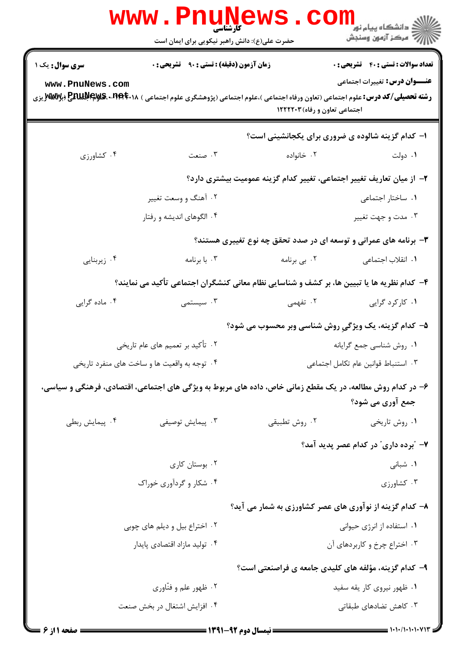|                 | <b>WWW.PNUNews</b><br>حضرت علی(ع): دانش راهبر نیکویی برای ایمان است | کارشناسی                      | ڪ دانشڪاه پيا <sub>م</sub> نور<br><mark>∕</mark> 7 مرڪز آزمون وسنڊش                                                                                                        |
|-----------------|---------------------------------------------------------------------|-------------------------------|----------------------------------------------------------------------------------------------------------------------------------------------------------------------------|
| سری سوال: یک ۱  | <b>زمان آزمون (دقیقه) : تستی : ۹۰٪ تشریحی : 0</b>                   |                               | <b>تعداد سوالات : تستي : 40 - تشريحي : 0</b>                                                                                                                               |
| www.PnuNews.com |                                                                     | اجتماعی تعاون و رفاه) ۱۲۲۲۲۰۳ | <b>عنـــوان درس:</b> تغییرات اجتماعی<br><b>رشته تحصیلی/کد درس:</b> علوم اجتماعی (تعاون ورفاه اجتماعی )،علوم اجتماعی (پژوهشگری علوم اجتماعی ) <b>۱۸.PEPE بهPENUIP بر</b> وی |
|                 |                                                                     |                               | ۱- کدام گزینه شالوده ی ضروری برای یکجانشینی است؟                                                                                                                           |
| ۰۴ کشاورزی      | ۰۳ صنعت                                                             | ۰۲ خانواده                    | ۰۱ دولت                                                                                                                                                                    |
|                 |                                                                     |                               | ۲– از میان تعاریف تغییر اجتماعی، تغییر کدام گزینه عمومیت بیشتری دارد؟                                                                                                      |
|                 | ۰۲ آهنگ و وسعت تغییر                                                |                               | ٠١ ساختار اجتماعي                                                                                                                                                          |
|                 | ۰۴ الگوهای اندیشه و رفتار                                           |                               | ۰۳ مدت و جهت تغییر                                                                                                                                                         |
|                 |                                                                     |                               | ۳- برنامه های عمرانی و توسعه ای در صدد تحقق چه نوع تغییری هستند؟                                                                                                           |
| ۰۴ زیربنایی     | ۰۳ با برنامه                                                        | ۰۲ بی برنامه                  | ۰۱ انقلاب اجتماعی                                                                                                                                                          |
|                 |                                                                     |                               | ۴- کدام نظریه ها یا تبیین ها، بر کشف و شناسایی نظام معانی کنشگران اجتماعی تأکید می نمایند؟                                                                                 |
| ۰۴ ماده گرایی   | ۰۳ سیستمی                                                           | ۰۲ تفهمی                      | ۰۱ کارکرد گرایی                                                                                                                                                            |
|                 |                                                                     |                               | ۵– کدام گزینه، یک ویژگیِ روش شناسی وبر محسوب می شود؟                                                                                                                       |
|                 | ۰۲ تأکید بر تعمیم های عام تاریخی                                    |                               | ٠١. روش شناسي جمع گرايانه                                                                                                                                                  |
|                 | ۰۴ توجه به واقعیت ها و ساخت های منفرد تاریخی                        |                               | ٠٣ استنباط قوانين عام تكامل اجتماعي                                                                                                                                        |
|                 |                                                                     |                               | ۶– در کدام روش مطالعه، در یک مقطع زمانی خاص، داده های مربوط به ویژگی های اجتماعی، اقتصادی، فرهنگی و سیاسی،                                                                 |
|                 |                                                                     |                               | جمع آوری می شود؟                                                                                                                                                           |
| ۰۴ پیمایش ربطی  | ۰۳ پیمایش توصیفی                                                    | ۰۲ روش تطبيقي                 | ۰۱ روش تاریخی                                                                                                                                                              |
|                 |                                                                     |                               | ۷– "برده داری" در کدام عصر پدید آمد؟                                                                                                                                       |
|                 | ۰۲ بوستان کاری                                                      |                               | ۰۱ شبانی                                                                                                                                                                   |
|                 | ۰۴ شکار و گردآوری خوراک                                             |                               | ۰۳ کشاورزی                                                                                                                                                                 |
|                 |                                                                     |                               | ۸- کدام گزینه از نوآوری های عصر کشاورزی به شمار می آید؟                                                                                                                    |
|                 | ۰۲ اختراع بیل و دیلم های چوبی                                       |                               | ۰۱ استفاده از انرژی حیوانی                                                                                                                                                 |
|                 | ۰۴ تولید مازاد اقتصادی پایدار                                       |                               | ۰۳ اختراع چرخ و کاربردهای آن                                                                                                                                               |
|                 |                                                                     |                               | ۹- کدام گزینه، مؤلفه های کلیدی جامعه ی فراصنعتی است؟                                                                                                                       |
|                 | ۰۲ ظهور علم و فنّاوري                                               |                               | ۰۱ ظهور نیروی کار یقه سفید                                                                                                                                                 |
|                 | ۰۴ افزایش اشتغال در بخش صنعت                                        |                               | ۰۳ کاهش تضادهای طبقاتی                                                                                                                                                     |
|                 |                                                                     |                               |                                                                                                                                                                            |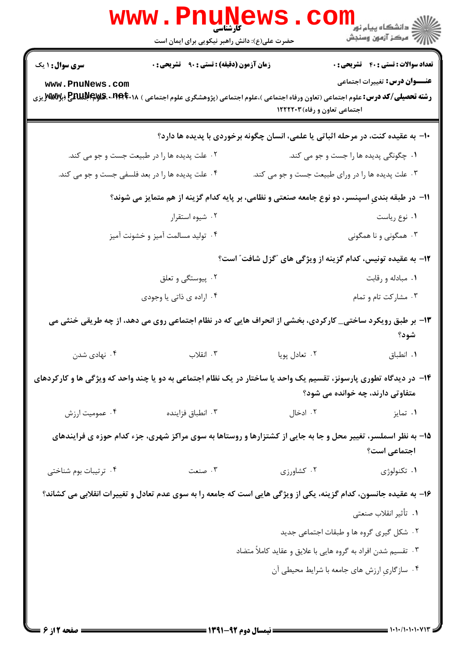|                        | <b>WWW.PNUN</b><br><b>کارشناسی</b><br>حضرت علی(ع): دانش راهبر نیکویی برای ایمان است                                                     |                                                               | ران دانشگاه پيام نور <mark>−<br/>ا</mark> ∛ مرکز آزمون وسنجش                     |
|------------------------|-----------------------------------------------------------------------------------------------------------------------------------------|---------------------------------------------------------------|----------------------------------------------------------------------------------|
| <b>سری سوال : ۱ یک</b> | زمان آزمون (دقیقه) : تستی : ۹۰٪ تشریحی : ۰                                                                                              |                                                               | <b>تعداد سوالات : تستی : 40 ٪ تشریحی : 0</b>                                     |
| www.PnuNews.com        | <b>رشته تحصیلی/کد درس:</b> علوم اجتماعی (تعاون ورفاه اجتماعی )،علوم اجتماعی (پژوهشگری علوم اجتماعی ) <b>۱۸:۲۹۴۴۰۹۰ MWUX و MWU</b> X یزی | اجتماعی تعاون و رفاه) ۱۲۲۲۲۰۳                                 | <b>عنـــوان درس:</b> تغییرات اجتماعی                                             |
|                        |                                                                                                                                         |                                                               | ∙ا− به عقیده کنت، در مرحله اثباتی یا علمی، انسان چگونه برخوردی با پدیده ها دارد؟ |
|                        | ۰۲ علت پدیده ها را در طبیعت جست و جو می کند.                                                                                            |                                                               | ۰۱ چگونگی پدیده ها را جست و جو می کند.                                           |
|                        | ۰۴ علت پدیده ها را در بعد فلسفی جست و جو می کند.                                                                                        |                                                               | ۰۳ علت پدیده ها را در ورای طبیعت جست و جو می کند.                                |
|                        | 11− در طبقه بندیِ اسپنسر، دو نوع جامعه صنعتی و نظامی، بر پایه کدام گزینه از هم متمایز می شوند؟                                          |                                                               |                                                                                  |
|                        | ۰۲ شیوه استقرار                                                                                                                         |                                                               | ۰۱ نوع رياست                                                                     |
|                        | ۰۴ تولید مسالمت آمیز و خشونت آمیز                                                                                                       |                                                               | ۰۳ همگونی و نا همگونی                                                            |
|                        |                                                                                                                                         |                                                               | ۱۲- به عقیده تونیس، کدام گزینه از ویژگی های "گزل شافت" است؟                      |
|                        | ۰۲ پیوستگی و تعلق                                                                                                                       |                                                               | ۰۱ مبادله و رقابت                                                                |
|                        | ۰۴ اراده ي ذاتي يا وجودي                                                                                                                |                                                               | ۰۳ مشارکت تام و تمام                                                             |
|                        | ۱۳- بر طبق رویکرد ساختی_ کارکردی، بخشی از انحراف هایی که در نظام اجتماعی روی می دهد، از چه طریقی خنثی می                                |                                                               | شود؟                                                                             |
| ۰۴ نهادی شدن           | ۰۳ انقلاب                                                                                                                               | ۰۲ تعادل پويا                                                 | ٠١. انطباق                                                                       |
|                        | ۱۴– در دیدگاه تطوری پارسونز، تقسیم یک واحد یا ساختار در یک نظام اجتماعی به دو یا چند واحد که ویژگی ها و کارکردهای                       |                                                               | متفاوتی دارند، چه خوانده می شود؟                                                 |
| ۰۴ عمومیت ارزش         | ۰۳ انطباق فزاینده                                                                                                                       | ۰۲ ادخال                                                      | ۰۱ تمایز                                                                         |
|                        | ۱۵- به نظر اسملسر، تغییر محل و جا به جایی از کشتزارها و روستاها به سوی مراکز شهری، جزء کدام حوزه ی فرایندهای                            |                                                               | اجتماعی است؟                                                                     |
| ۰۴ ترتیبات بوم شناختی  | ۰۳ صنعت                                                                                                                                 | ۰۲ کشاورزی                                                    | ۰۱ تکنولوژی                                                                      |
|                        | ۱۶– به عقیده جانسون، کدام گزینه، یکی از ویژگی هایی است که جامعه را به سوی عدم تعادل و تغییرات انقلابی می کشاند؟                         |                                                               |                                                                                  |
|                        |                                                                                                                                         |                                                               | 1. تأثير انقلاب صنعتي                                                            |
|                        |                                                                                                                                         |                                                               | ۰۲ شکل گیری گروه ها و طبقات اجتماعی جدید                                         |
|                        |                                                                                                                                         | ۰۳ تقسیم شدن افراد به گروه هایی با علایق و عقاید کاملاً متضاد |                                                                                  |
|                        |                                                                                                                                         |                                                               | ۰۴ سازگاریِ ارزش های جامعه با شرایط محیطی آن                                     |
|                        |                                                                                                                                         |                                                               |                                                                                  |

 $= 1.1.11111111$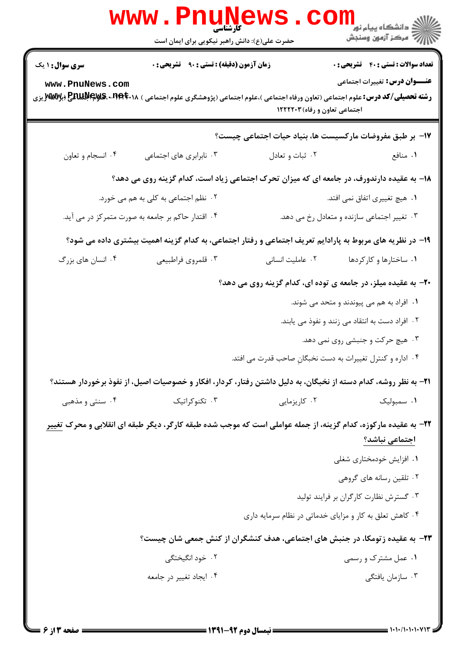|                                           | <b>www.PnuNews</b>                                                                                                                                                                                                      |                  |                                                                                                                                  |
|-------------------------------------------|-------------------------------------------------------------------------------------------------------------------------------------------------------------------------------------------------------------------------|------------------|----------------------------------------------------------------------------------------------------------------------------------|
|                                           | حضرت علی(ع): دانش راهبر نیکویی برای ایمان است                                                                                                                                                                           |                  | رانشگاه پيام نور<br>الله عرکز آزمهن وسنجش                                                                                        |
| <b>سری سوال : ۱ یک</b><br>www.PnuNews.com | <b>زمان آزمون (دقیقه) : تستی : ۹۰ تشریحی : 0</b><br><b>رشته تحصیلی/کد درس:</b> علوم اجتماعی (تعاون ورفاه اجتماعی )،علوم اجتماعی (پژوهشگری علوم اجتماعی ) <b>۱۸.PEPE بهPENUIPE ب</b> زی<br>اجتماعی تعاون و رفاه) ۱۲۲۲۲۰۳ |                  | <b>تعداد سوالات : تستی : 40 - تشریحی : 0</b><br><b>عنـــوان درس:</b> تغییرات اجتماعی                                             |
|                                           |                                                                                                                                                                                                                         |                  | <b>۱۷</b> - بر طبق مفروضات مارکسیست ها، بنیاد حیات اجتماعی چیست؟                                                                 |
| ۰۴ انسجام و تعاون                         | ۰۳ نابرابری های اجتماعی                                                                                                                                                                                                 | ۰۲ ثبات و تعادل  | ۰۱ منافع                                                                                                                         |
|                                           |                                                                                                                                                                                                                         |                  | ۱۸- به عقیده دارندورف، در جامعه ای که میزان تحرک اجتماعی زیاد است، کدام گزینه روی می دهد؟                                        |
|                                           | ۰۲ نظم اجتماعی به کلی به هم می خورد.                                                                                                                                                                                    |                  | ۰۱ هیچ تغییری اتفاق نمی افتد.                                                                                                    |
|                                           | ۰۴ اقتدار حاکم بر جامعه به صورت متمرکز در می آید.                                                                                                                                                                       |                  | ۰۳ تغییر اجتماعی سازنده و متعادل رخ می دهد.                                                                                      |
|                                           |                                                                                                                                                                                                                         |                  | ۱۹- در نظریه های مربوط به پارادایم تعریف اجتماعی و رفتار اجتماعی، به کدام گزینه اهمیت بیشتری داده می شود؟                        |
| ۰۴ انسان های بزرگ                         | ۰۳ قلمروي فراطبيعي                                                                                                                                                                                                      | ٠٢ عامليت انسانى | ۰۱ ساختارها و کارکردها                                                                                                           |
|                                           |                                                                                                                                                                                                                         |                  | ۲۰- به عقیده میلز، در جامعه ی توده ای، کدام گزینه روی می دهد؟                                                                    |
|                                           |                                                                                                                                                                                                                         |                  | ۰۱ افراد به هم می پیوندند و متحد می شوند.<br>۰۲ افراد دست به انتقاد می زنند و نفوذ می یابند.                                     |
|                                           |                                                                                                                                                                                                                         |                  | ۰۳ هیچ حرکت و جنبشی روی نمی دهد.                                                                                                 |
|                                           |                                                                                                                                                                                                                         |                  | ۰۴ اداره و کنترل تغییرات به دست نخبگان صاحب قدرت می افتد.                                                                        |
|                                           |                                                                                                                                                                                                                         |                  | ۲۱– به نظر روشه، کدام دسته از نخبگان، به دلیل داشتن رفتار، کردار، افکار و خصوصیات اصیل، از نفوذ برخوردار هستند؟                  |
| ۰۴ سنتی و مذهبی                           | ۰۳ تکنوکراتیک                                                                                                                                                                                                           | ۰۲ کاریزمایی     | ۰۱ سمبولیک                                                                                                                       |
|                                           |                                                                                                                                                                                                                         |                  | ۲۲- به عقیده مارکوزه، کدام گزینه، از جمله عواملی است که موجب شده طبقه کارگر، دیگر طبقه ای انقلابی و محرک تغییر<br>اجتماعي نباشد؟ |
|                                           |                                                                                                                                                                                                                         |                  | ۰۱ افزایش خودمختاری شغلی                                                                                                         |
|                                           |                                                                                                                                                                                                                         |                  | ۰۲ تلقین رسانه های گروهی                                                                                                         |
|                                           |                                                                                                                                                                                                                         |                  | ۰۳ گسترش نظارت کارگران بر فرایند تولید                                                                                           |
|                                           |                                                                                                                                                                                                                         |                  | ۰۴ کاهش تعلق به کار و مزایای خدماتی در نظام سرمایه داری                                                                          |
|                                           |                                                                                                                                                                                                                         |                  | ۲۳- به عقیده زتومکا، در جنبش های اجتماعی، هدف کنشگران از کنش جمعی شان چیست؟                                                      |
|                                           | ٢. خود انگيختگي                                                                                                                                                                                                         |                  | ۰۱ عمل مشترک و رسمی                                                                                                              |
|                                           | ۰۴ ایجاد تغییر در جامعه                                                                                                                                                                                                 |                  | ۰۳ سازمان يافتگى                                                                                                                 |
|                                           |                                                                                                                                                                                                                         |                  |                                                                                                                                  |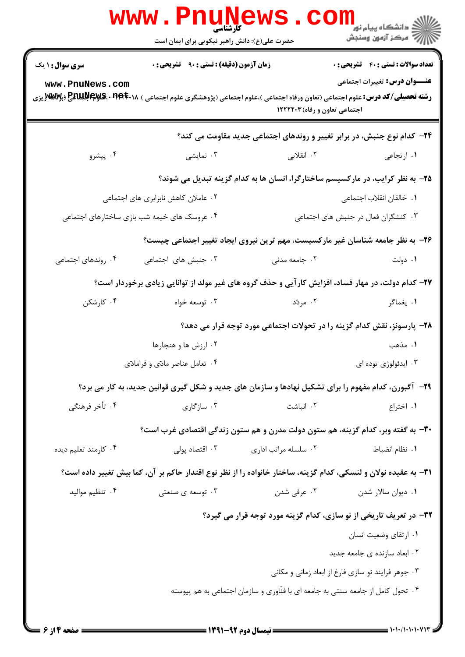|                        | <b>www.PnuNews</b>                            |                               |                                                                                                                                                                                 |
|------------------------|-----------------------------------------------|-------------------------------|---------------------------------------------------------------------------------------------------------------------------------------------------------------------------------|
|                        | حضرت علی(ع): دانش راهبر نیکویی برای ایمان است |                               | الار دانشگاه پيام نور<br>۱۳۸۰ مرکز آزمون وسنجش                                                                                                                                  |
| <b>سری سوال : ۱ یک</b> | زمان آزمون (دقیقه) : تستی : ۹۰٪ تشریحی : ۰    |                               | <b>تعداد سوالات : تستی : 40 قشریحی : 0</b>                                                                                                                                      |
| www.PnuNews.com        |                                               | اجتماعی تعاون و رفاه) ۱۲۲۲۲۰۳ | <b>عنـــوان درس:</b> تغییرات اجتماعی<br><b>رشته تحصیلی/کد درس:</b> علوم اجتماعی (تعاون ورفاه اجتماعی )،علوم اجتماعی (پژوهشگری علوم اجتماعی ) <b>۱۸.PEPE بهPE برنگ MMV</b> y بزی |
|                        |                                               |                               | ۲۴- کدام نوع جنبش، در برابر تغییر و روندهای اجتماعی جدید مقاومت می کند؟                                                                                                         |
| ۰۴ پیشرو               | ۰۳ نمایشی                                     | ۲. انقلابی                    | ۰۱ ارتجاعی                                                                                                                                                                      |
|                        |                                               |                               | ۲۵– به نظر کرایب، در مارکسیسم ساختارگرا، انسان ها به کدام گزینه تبدیل می شوند؟                                                                                                  |
|                        | ۰۲ عاملان کاهش نابرابری های اجتماعی           |                               | ۰۱ خالقان انقلاب اجتماعی                                                                                                                                                        |
|                        | ۰۴ عروسک های خیمه شب بازی ساختارهای اجتماعی   |                               | ۰۳ کنشگران فعال در جنبش های اجتماعی                                                                                                                                             |
|                        |                                               |                               | ۲۶- به نظر جامعه شناسان غیر مارکسیست، مهم ترین نیروی ایجاد تغییر اجتماعی چیست؟                                                                                                  |
| ۰۴ روندهای اجتماعی     | ۰۳ جنبش های اجتماعی                           | ۰۲ جامعه مدن <sub>ی</sub>     | ۰۱ دولت                                                                                                                                                                         |
|                        |                                               |                               | ۲۷- کدام دولت، در مهار فساد، افزایش کار آیی و حذف گروه های غیر مولد از توانایی زیادی برخوردار است؟                                                                              |
| ۰۴ کارشکن              | ۰۳ توسعه خواه                                 | ۰۲ مردّد                      | ۰۱ يغماگر                                                                                                                                                                       |
|                        |                                               |                               | ۲۸- پارسونز، نقش کدام گزینه را در تحولات اجتماعی مورد توجه قرار می دهد؟                                                                                                         |
|                        | ۰۲ ارزش ها و هنجارها                          |                               | ۰۱ مذهب                                                                                                                                                                         |
|                        | ۰۴ تعامل عناصر مادّى و فرامادّى               |                               | ۰۳ ایدئولوژی توده ای                                                                                                                                                            |
|                        |                                               |                               | <b>۲۹</b> - آگبورن، کدام مفهوم را برای تشکیل نهادها و سازمان های جدید و شکل گیری قوانین جدید، به کار می برد؟                                                                    |
| ۰۴ تأخر فرهنگی         | ۰۳ سازگاری                                    | ۰۲ انباشت                     | ۰۱ اختراع                                                                                                                                                                       |
|                        |                                               |                               | ۳۰- به گفته وبر، کدام گزینه، هم ستون دولت مدرن و هم ستون زندگی اقتصادی غرب است؟                                                                                                 |
| ۰۴ کارمند تعلیم دیده   | ۰۳ اقتصاد پولی                                | ۰۲ سلسله مراتب اداری          | ٠١. نظام انضباط                                                                                                                                                                 |
|                        |                                               |                               | ۳۱– به عقیده نولان و لنسکی، کدام گزینه، ساختار خانواده را از نظر نوع اقتدار حاکم بر آن، کما بیش تغییر داده است؟                                                                 |
| ۰۴ تنظیم موالید        | ۰۳ توسعه ی صنعتی                              |                               | ۰ <b>۱</b> دیوان سالار شدن $\cdot$ ۲ . عرفی شدن                                                                                                                                 |
|                        |                                               |                               | ۳۲- در تعریف تاریخی از نو سازی، کدام گزینه مورد توجه قرار می گیرد؟                                                                                                              |
|                        |                                               |                               | ٠١. ارتقاى وضعيت انسان                                                                                                                                                          |
|                        |                                               |                               | ۰۲ ابعاد سازنده ی جامعه جدید                                                                                                                                                    |
|                        |                                               |                               | ۰۳ جوهر فرایند نو سازی فارغ از ابعاد زمانی و مکانی                                                                                                                              |
|                        |                                               |                               | ۰۴ تحول کامل از جامعه سنتی به جامعه ای با فنّاوری و سازمان اجتماعی به هم پیوسته                                                                                                 |
|                        |                                               |                               |                                                                                                                                                                                 |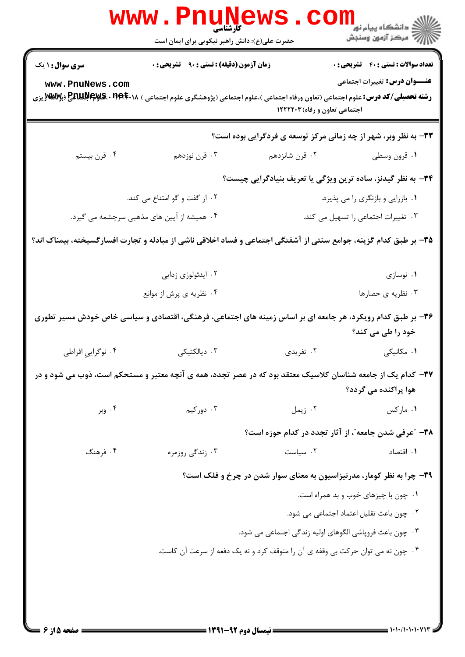| <b>تعداد سوالات : تستی : 40 - تشریحی : .</b>     |                                                                       | زمان آزمون (دقیقه) : تستی : ۹۰٪ تشریحی : ۰                                     | سری سوال : ۱ یک                                                                                                                                    |
|--------------------------------------------------|-----------------------------------------------------------------------|--------------------------------------------------------------------------------|----------------------------------------------------------------------------------------------------------------------------------------------------|
| <b>عنــــوان درس:</b> تغییرات اجتماعی            | اجتماعی تعاون و رفاه) ۱۲۲۲۲۰۳                                         |                                                                                | www.PnuNews.com<br><b>رشته تحصیلی/کد درس:</b> علوم اجتماعی (تعاون ورفاه اجتماعی )،علوم اجتماعی (پژوهشگری علوم اجتماعی ) <b>۱۸.PEPMAR و MAT</b> بزی |
|                                                  | 33- به نظر وبر، شهر از چه زمانی مرکز توسعه ی فردگرایی بوده است؟       |                                                                                |                                                                                                                                                    |
| ۰۱ قرون وسطى                                     | ۰۲ قرن شانزدهم                                                        | ۰۳ قرن نوزدهم                                                                  | ۰۴ قرن بیستم                                                                                                                                       |
|                                                  | ۳۴- به نظر گیدنز، ساده ترین ویژگی یا تعریف بنیادگرایی چیست؟           |                                                                                |                                                                                                                                                    |
| ۰۱ باززایی و بازنگری را می پذیرد.                |                                                                       | ۰۲ از گفت و گو امتناع می کند.                                                  |                                                                                                                                                    |
| ۰۳ تغییرات اجتماعی را تسهیل می کند.              |                                                                       | ۰۴ همیشه از آیین های مذهبی سرچشمه می گیرد.                                     |                                                                                                                                                    |
|                                                  |                                                                       |                                                                                | ۳۵- بر طبق کدام گزینه، جوامع سنتی از آشفتگی اجتماعی و فساد اخلاقی ناشی از مبادله و تجارت افسارگسیخته، بیمناک اند؟                                  |
| ۰۱ نوسازی                                        |                                                                       | ۰۲ ایدئولوژی زدایی                                                             |                                                                                                                                                    |
| ۰۳ نظریه ی حصارها                                |                                                                       | ۰۴ نظریه ی پرش از موانع                                                        |                                                                                                                                                    |
| خود را طی می کند؟                                |                                                                       |                                                                                | ۳۶- بر طبق کدام رویکرد، هر جامعه ای بر اساس زمینه های اجتماعی، فرهنگی، اقتصادی و سیاسی خاص خودش مسیر تطوری                                         |
| ۰۱ مکانیکی                                       | ۰۲ تفریدی                                                             | ۰۳ دیالکتیکی                                                                   | ۰۴ نوگرايي افراطي                                                                                                                                  |
| هوا پراکنده می گردد؟                             |                                                                       |                                                                                | ۳۷– کدام یک از جامعه شناسان کلاسیک معتقد بود که در عصر تجدد، همه ی آنچه معتبر و مستحکم است، ذوب می شود و در                                        |
| ۰۱ مارکس                                         | ۰۲ زیمل                                                               | ۰۳ دورکیم                                                                      | ۰۴ وبر                                                                                                                                             |
|                                                  | ۳۸- "عرفی شدن جامعه"، از آثار تجدد در کدام حوزه است؟                  |                                                                                |                                                                                                                                                    |
| ۰۱ اقتصاد                                        | ٠٢ سياست                                                              | ۰۳ زندگی روزمره                                                                | ۰۴ فرهنگ                                                                                                                                           |
|                                                  | ۳۹- چرا به نظر کومار، مدرنیزاسیون به معنای سوار شدن در چرخ و فلک است؟ |                                                                                |                                                                                                                                                    |
| ۰۱ چون با چیزهای خوب و بد همراه است.             |                                                                       |                                                                                |                                                                                                                                                    |
| ۰۲ چون باعث تقلیل اعتماد اجتما <i>عی</i> می شود. |                                                                       |                                                                                |                                                                                                                                                    |
|                                                  | ۰۳ چون باعث فروپاشی الگوهای اولیه زندگی اجتماعی می شود.               |                                                                                |                                                                                                                                                    |
|                                                  |                                                                       | ۰۴ چون نه می توان حرکت بی وقفه ی آن را متوقف کرد و نه یک دفعه از سرعت آن کاست. |                                                                                                                                                    |